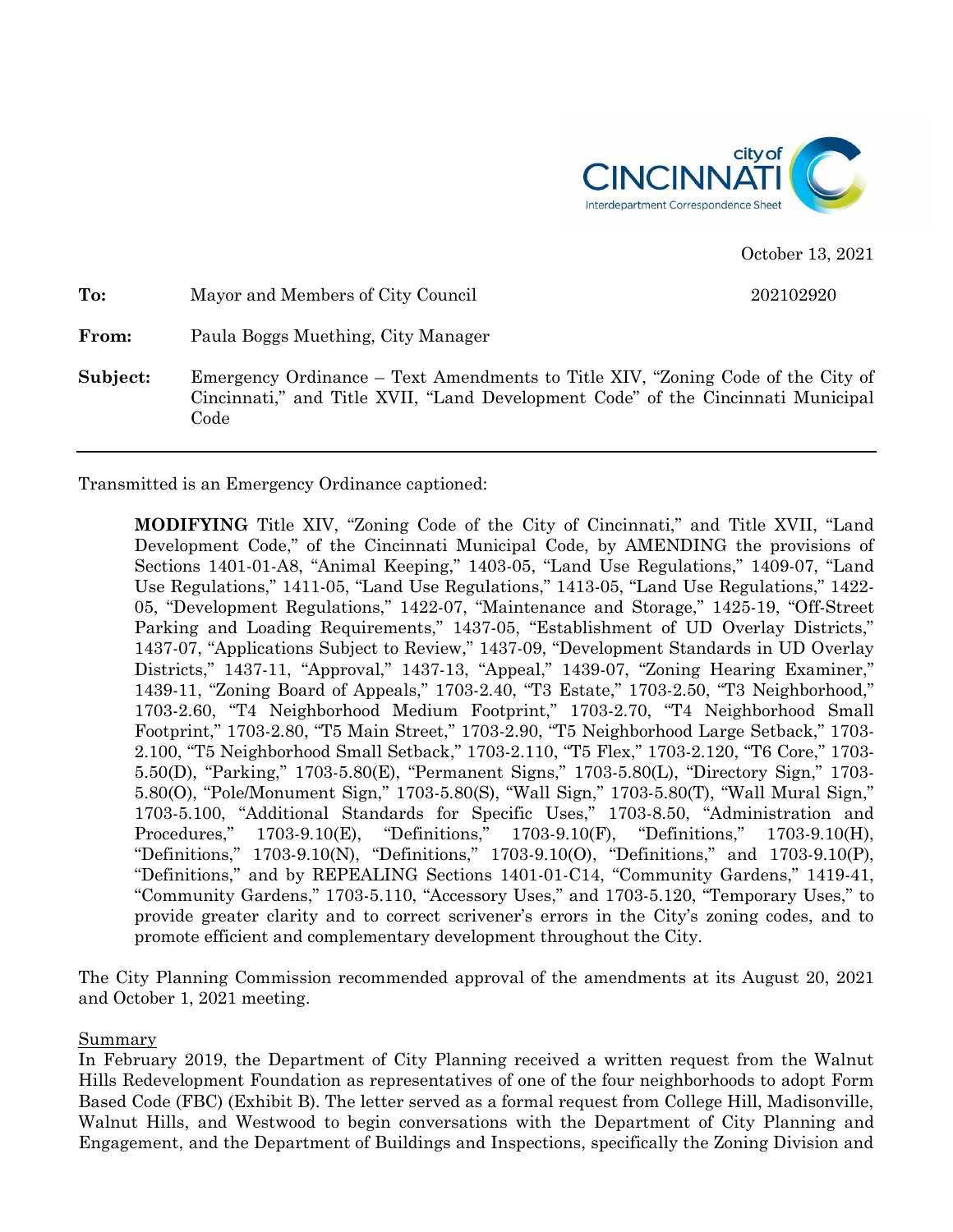

October 13, 2021

| To:      | Mayor and Members of City Council                                                                                                                                           | 202102920 |
|----------|-----------------------------------------------------------------------------------------------------------------------------------------------------------------------------|-----------|
| From:    | Paula Boggs Muething, City Manager                                                                                                                                          |           |
| Subject: | Emergency Ordinance – Text Amendments to Title XIV, "Zoning Code of the City of<br>Cincinnati," and Title XVII, "Land Development Code" of the Cincinnati Municipal<br>Code |           |

Transmitted is an Emergency Ordinance captioned:

**MODIFYING** Title XIV, "Zoning Code of the City of Cincinnati," and Title XVII, "Land Development Code," of the Cincinnati Municipal Code, by AMENDING the provisions of Sections 1401-01-A8, "Animal Keeping," 1403-05, "Land Use Regulations," 1409-07, "Land Use Regulations," 1411-05, "Land Use Regulations," 1413-05, "Land Use Regulations," 1422- 05, "Development Regulations," 1422-07, "Maintenance and Storage," 1425-19, "Off-Street Parking and Loading Requirements," 1437-05, "Establishment of UD Overlay Districts," 1437-07, "Applications Subject to Review," 1437-09, "Development Standards in UD Overlay Districts," 1437-11, "Approval," 1437-13, "Appeal," 1439-07, "Zoning Hearing Examiner," 1439-11, "Zoning Board of Appeals," 1703-2.40, "T3 Estate," 1703-2.50, "T3 Neighborhood," 1703-2.60, "T4 Neighborhood Medium Footprint," 1703-2.70, "T4 Neighborhood Small Footprint," 1703-2.80, "T5 Main Street," 1703-2.90, "T5 Neighborhood Large Setback," 1703- 2.100, "T5 Neighborhood Small Setback," 1703-2.110, "T5 Flex," 1703-2.120, "T6 Core," 1703- 5.50(D), "Parking," 1703-5.80(E), "Permanent Signs," 1703-5.80(L), "Directory Sign," 1703- 5.80(O), "Pole/Monument Sign," 1703-5.80(S), "Wall Sign," 1703-5.80(T), "Wall Mural Sign," 1703-5.100, "Additional Standards for Specific Uses," 1703-8.50, "Administration and Procedures," 1703-9.10(E), "Definitions," 1703-9.10(F), "Definitions," 1703-9.10(H), "Definitions," 1703-9.10(N), "Definitions," 1703-9.10(O), "Definitions," and 1703-9.10(P), "Definitions," and by REPEALING Sections 1401-01-C14, "Community Gardens," 1419-41, "Community Gardens," 1703-5.110, "Accessory Uses," and 1703-5.120, "Temporary Uses," to provide greater clarity and to correct scrivener's errors in the City's zoning codes, and to promote efficient and complementary development throughout the City.

The City Planning Commission recommended approval of the amendments at its August 20, 2021 and October 1, 2021 meeting.

Summary

In February 2019, the Department of City Planning received a written request from the Walnut Hills Redevelopment Foundation as representatives of one of the four neighborhoods to adopt Form Based Code (FBC) (Exhibit B). The letter served as a formal request from College Hill, Madisonville, Walnut Hills, and Westwood to begin conversations with the Department of City Planning and Engagement, and the Department of Buildings and Inspections, specifically the Zoning Division and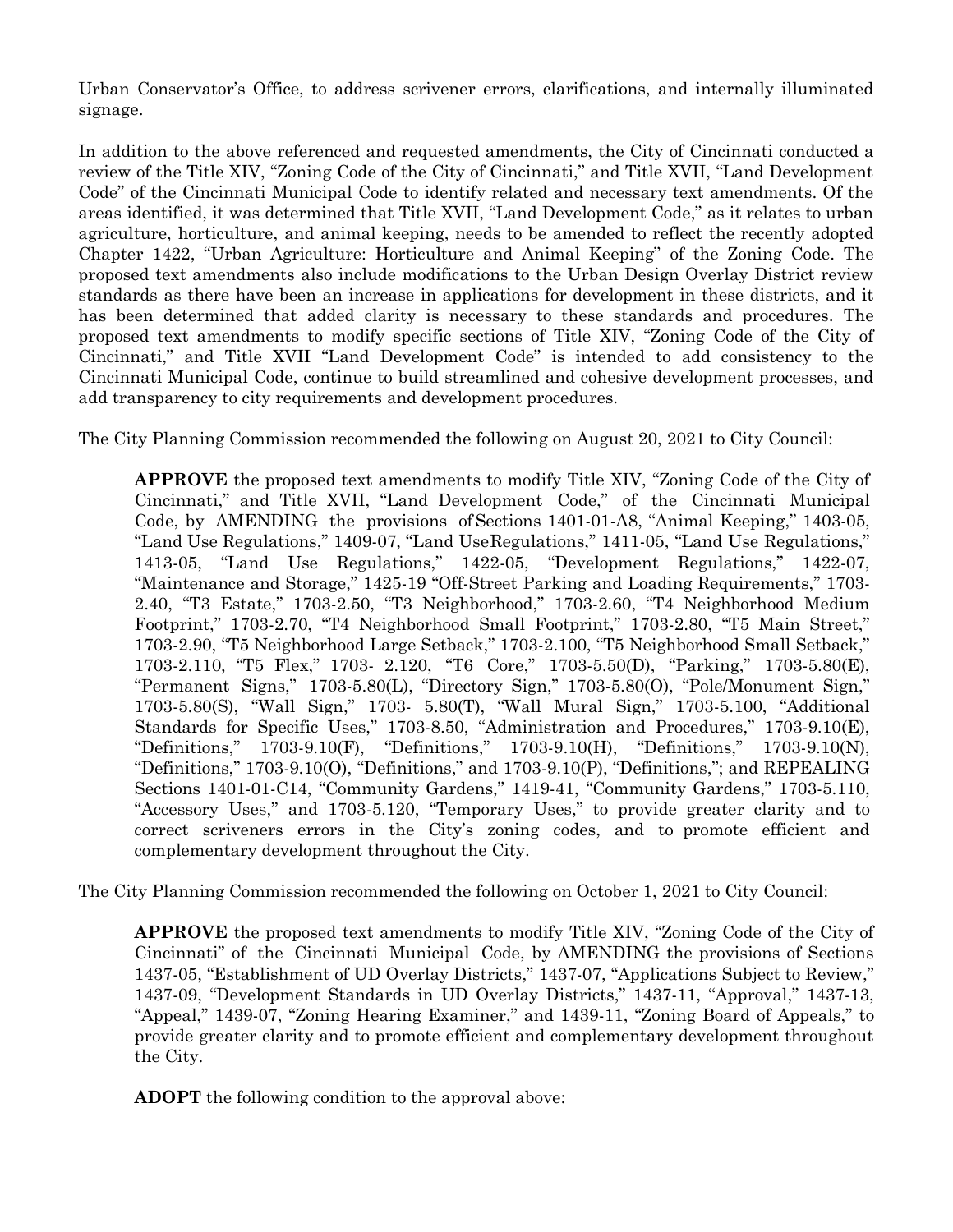Urban Conservator's Office, to address scrivener errors, clarifications, and internally illuminated signage.

In addition to the above referenced and requested amendments, the City of Cincinnati conducted a review of the Title XIV, "Zoning Code of the City of Cincinnati," and Title XVII, "Land Development Code" of the Cincinnati Municipal Code to identify related and necessary text amendments. Of the areas identified, it was determined that Title XVII, "Land Development Code," as it relates to urban agriculture, horticulture, and animal keeping, needs to be amended to reflect the recently adopted Chapter 1422, "Urban Agriculture: Horticulture and Animal Keeping" of the Zoning Code. The proposed text amendments also include modifications to the Urban Design Overlay District review standards as there have been an increase in applications for development in these districts, and it has been determined that added clarity is necessary to these standards and procedures. The proposed text amendments to modify specific sections of Title XIV, "Zoning Code of the City of Cincinnati," and Title XVII "Land Development Code" is intended to add consistency to the Cincinnati Municipal Code, continue to build streamlined and cohesive development processes, and add transparency to city requirements and development procedures.

The City Planning Commission recommended the following on August 20, 2021 to City Council:

**APPROVE** the proposed text amendments to modify Title XIV, "Zoning Code of the City of Cincinnati," and Title XVII, "Land Development Code," of the Cincinnati Municipal Code, by AMENDING the provisions of Sections 1401-01-A8, "Animal Keeping," 1403-05, "Land Use Regulations," 1409-07, "Land UseRegulations," 1411-05, "Land Use Regulations," 1413-05, "Land Use Regulations," 1422-05, "Development Regulations," 1422-07, "Maintenance and Storage," 1425-19 "Off-Street Parking and Loading Requirements," 1703- 2.40, "T3 Estate," 1703-2.50, "T3 Neighborhood," 1703-2.60, "T4 Neighborhood Medium Footprint," 1703-2.70, "T4 Neighborhood Small Footprint," 1703-2.80, "T5 Main Street," 1703-2.90, "T5 Neighborhood Large Setback," 1703-2.100, "T5 Neighborhood Small Setback," 1703-2.110, "T5 Flex," 1703- 2.120, "T6 Core," 1703-5.50(D), "Parking," 1703-5.80(E), "Permanent Signs," 1703-5.80(L), "Directory Sign," 1703-5.80(O), "Pole/Monument Sign," 1703-5.80(S), "Wall Sign," 1703- 5.80(T), "Wall Mural Sign," 1703-5.100, "Additional Standards for Specific Uses," 1703-8.50, "Administration and Procedures," 1703-9.10(E), "Definitions," 1703-9.10(F), "Definitions," 1703-9.10(H), "Definitions," 1703-9.10(N), "Definitions," 1703-9.10(O), "Definitions," and 1703-9.10(P), "Definitions,"; and REPEALING Sections 1401-01-C14, "Community Gardens," 1419-41, "Community Gardens," 1703-5.110, "Accessory Uses," and 1703-5.120, "Temporary Uses," to provide greater clarity and to correct scriveners errors in the City's zoning codes, and to promote efficient and complementary development throughout the City.

The City Planning Commission recommended the following on October 1, 2021 to City Council:

**APPROVE** the proposed text amendments to modify Title XIV, "Zoning Code of the City of Cincinnati" of the Cincinnati Municipal Code, by AMENDING the provisions of Sections 1437-05, "Establishment of UD Overlay Districts," 1437-07, "Applications Subject to Review," 1437-09, "Development Standards in UD Overlay Districts," 1437-11, "Approval," 1437-13, "Appeal," 1439-07, "Zoning Hearing Examiner," and 1439-11, "Zoning Board of Appeals," to provide greater clarity and to promote efficient and complementary development throughout the City.

**ADOPT** the following condition to the approval above: